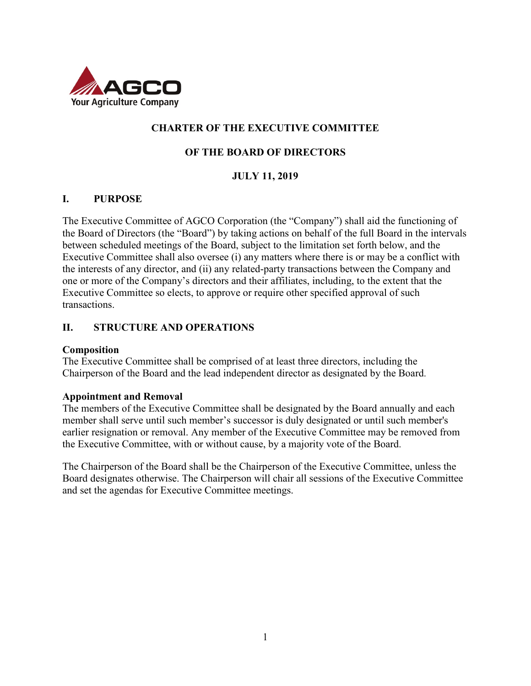

## **CHARTER OF THE EXECUTIVE COMMITTEE**

### **OF THE BOARD OF DIRECTORS**

### **JULY 11, 2019**

### **I. PURPOSE**

The Executive Committee of AGCO Corporation (the "Company") shall aid the functioning of the Board of Directors (the "Board") by taking actions on behalf of the full Board in the intervals between scheduled meetings of the Board, subject to the limitation set forth below, and the Executive Committee shall also oversee (i) any matters where there is or may be a conflict with the interests of any director, and (ii) any related-party transactions between the Company and one or more of the Company's directors and their affiliates, including, to the extent that the Executive Committee so elects, to approve or require other specified approval of such transactions.

#### **II. STRUCTURE AND OPERATIONS**

#### **Composition**

The Executive Committee shall be comprised of at least three directors, including the Chairperson of the Board and the lead independent director as designated by the Board.

#### **Appointment and Removal**

The members of the Executive Committee shall be designated by the Board annually and each member shall serve until such member's successor is duly designated or until such member's earlier resignation or removal. Any member of the Executive Committee may be removed from the Executive Committee, with or without cause, by a majority vote of the Board.

The Chairperson of the Board shall be the Chairperson of the Executive Committee, unless the Board designates otherwise. The Chairperson will chair all sessions of the Executive Committee and set the agendas for Executive Committee meetings.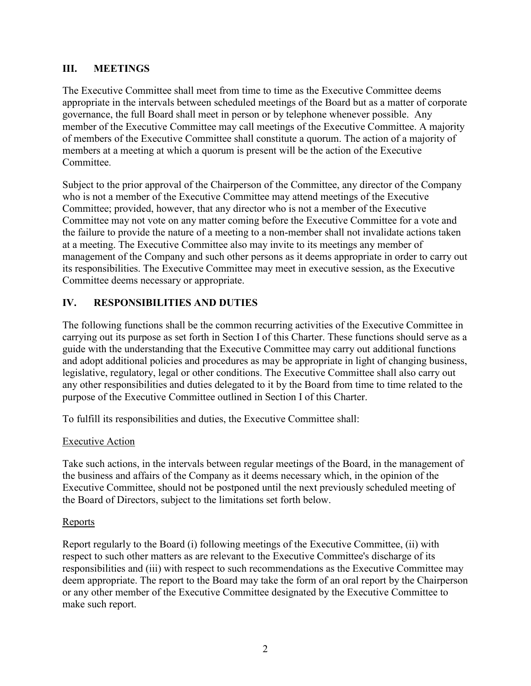### **III. MEETINGS**

The Executive Committee shall meet from time to time as the Executive Committee deems appropriate in the intervals between scheduled meetings of the Board but as a matter of corporate governance, the full Board shall meet in person or by telephone whenever possible. Any member of the Executive Committee may call meetings of the Executive Committee. A majority of members of the Executive Committee shall constitute a quorum. The action of a majority of members at a meeting at which a quorum is present will be the action of the Executive **Committee** 

Subject to the prior approval of the Chairperson of the Committee, any director of the Company who is not a member of the Executive Committee may attend meetings of the Executive Committee; provided, however, that any director who is not a member of the Executive Committee may not vote on any matter coming before the Executive Committee for a vote and the failure to provide the nature of a meeting to a non-member shall not invalidate actions taken at a meeting. The Executive Committee also may invite to its meetings any member of management of the Company and such other persons as it deems appropriate in order to carry out its responsibilities. The Executive Committee may meet in executive session, as the Executive Committee deems necessary or appropriate.

### **IV. RESPONSIBILITIES AND DUTIES**

The following functions shall be the common recurring activities of the Executive Committee in carrying out its purpose as set forth in Section I of this Charter. These functions should serve as a guide with the understanding that the Executive Committee may carry out additional functions and adopt additional policies and procedures as may be appropriate in light of changing business, legislative, regulatory, legal or other conditions. The Executive Committee shall also carry out any other responsibilities and duties delegated to it by the Board from time to time related to the purpose of the Executive Committee outlined in Section I of this Charter.

To fulfill its responsibilities and duties, the Executive Committee shall:

### Executive Action

Take such actions, in the intervals between regular meetings of the Board, in the management of the business and affairs of the Company as it deems necessary which, in the opinion of the Executive Committee, should not be postponed until the next previously scheduled meeting of the Board of Directors, subject to the limitations set forth below.

### **Reports**

Report regularly to the Board (i) following meetings of the Executive Committee, (ii) with respect to such other matters as are relevant to the Executive Committee's discharge of its responsibilities and (iii) with respect to such recommendations as the Executive Committee may deem appropriate. The report to the Board may take the form of an oral report by the Chairperson or any other member of the Executive Committee designated by the Executive Committee to make such report.